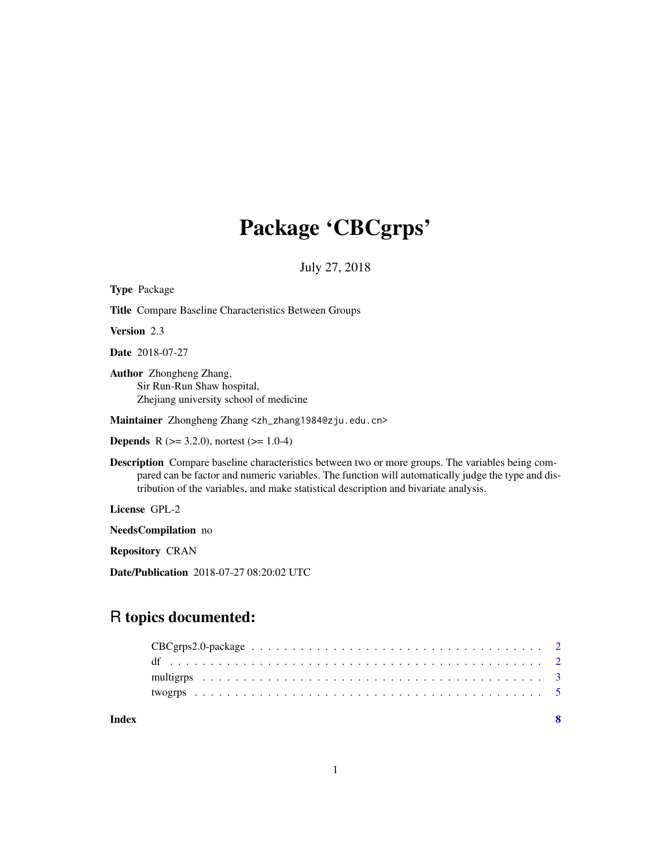# Package 'CBCgrps'

July 27, 2018

| <b>Type Package</b>                                                                                                                                                                                                                                                                                    |
|--------------------------------------------------------------------------------------------------------------------------------------------------------------------------------------------------------------------------------------------------------------------------------------------------------|
| <b>Title Compare Baseline Characteristics Between Groups</b>                                                                                                                                                                                                                                           |
| <b>Version</b> 2.3                                                                                                                                                                                                                                                                                     |
| <b>Date</b> 2018-07-27                                                                                                                                                                                                                                                                                 |
| <b>Author</b> Zhongheng Zhang,<br>Sir Run-Run Shaw hospital,<br>Zhejiang university school of medicine                                                                                                                                                                                                 |
| Maintainer Zhongheng Zhang <zh_zhang1984@zju.edu.cn></zh_zhang1984@zju.edu.cn>                                                                                                                                                                                                                         |
| <b>Depends</b> R $(>= 3.2.0)$ , nortest $(>= 1.0-4)$                                                                                                                                                                                                                                                   |
| <b>Description</b> Compare baseline characteristics between two or more groups. The variables being com-<br>pared can be factor and numeric variables. The function will automatically judge the type and dis-<br>tribution of the variables, and make statistical description and bivariate analysis. |
| License GPL-2                                                                                                                                                                                                                                                                                          |
| <b>NeedsCompilation</b> no                                                                                                                                                                                                                                                                             |
| <b>Repository CRAN</b>                                                                                                                                                                                                                                                                                 |

Date/Publication 2018-07-27 08:20:02 UTC

# R topics documented:

**Index** [8](#page-7-0) **8**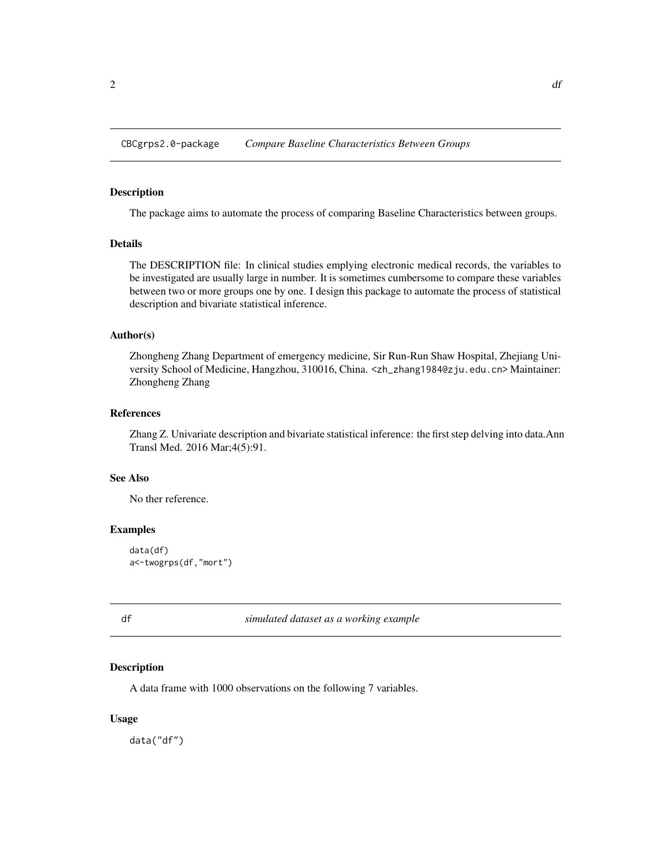<span id="page-1-0"></span>CBCgrps2.0-package *Compare Baseline Characteristics Between Groups*

# Description

The package aims to automate the process of comparing Baseline Characteristics between groups.

# Details

The DESCRIPTION file: In clinical studies emplying electronic medical records, the variables to be investigated are usually large in number. It is sometimes cumbersome to compare these variables between two or more groups one by one. I design this package to automate the process of statistical description and bivariate statistical inference.

#### Author(s)

Zhongheng Zhang Department of emergency medicine, Sir Run-Run Shaw Hospital, Zhejiang University School of Medicine, Hangzhou, 310016, China. <zh\_zhang1984@zju.edu.cn> Maintainer: Zhongheng Zhang

#### References

Zhang Z. Univariate description and bivariate statistical inference: the first step delving into data.Ann Transl Med. 2016 Mar;4(5):91.

#### See Also

No ther reference.

# Examples

```
data(df)
a<-twogrps(df,"mort")
```
df *simulated dataset as a working example*

#### Description

A data frame with 1000 observations on the following 7 variables.

# Usage

data("df")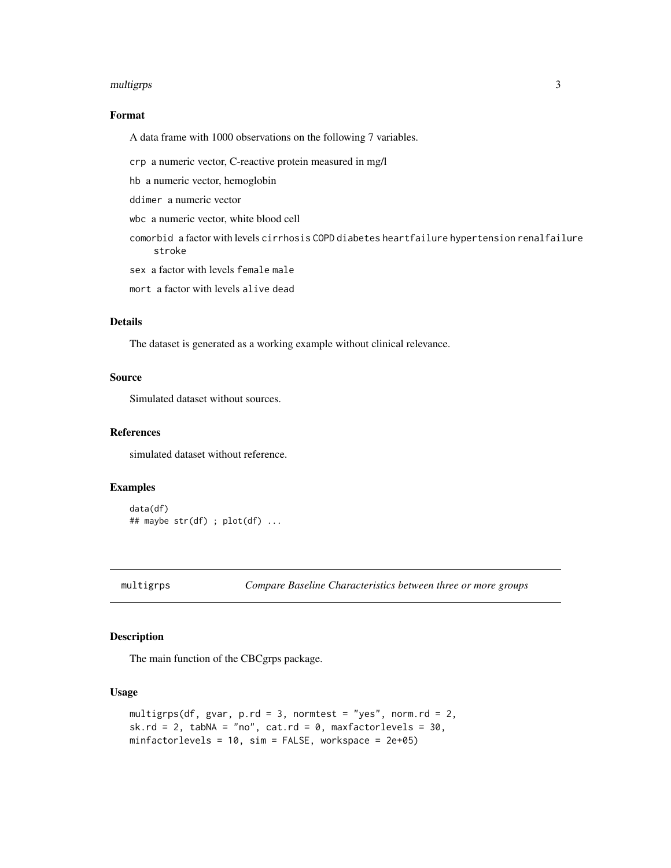#### <span id="page-2-0"></span>multigrps 3

# Format

A data frame with 1000 observations on the following 7 variables.

crp a numeric vector, C-reactive protein measured in mg/l

hb a numeric vector, hemoglobin

ddimer a numeric vector

wbc a numeric vector, white blood cell

comorbid a factor with levels cirrhosis COPD diabetes heartfailure hypertension renalfailure stroke

sex a factor with levels female male

mort a factor with levels alive dead

# Details

The dataset is generated as a working example without clinical relevance.

# Source

Simulated dataset without sources.

# References

simulated dataset without reference.

# Examples

```
data(df)
## maybe str(df) ; plot(df) ...
```
multigrps *Compare Baseline Characteristics between three or more groups*

#### Description

The main function of the CBCgrps package.

# Usage

```
multigrps(df, gvar, p.rd = 3, normtest = "yes", norm.rd = 2,
sk.rd = 2, tabNA = "no", cat.rd = 0, maxfactorlevels = 30,
minfactorlevels = 10, sim = FALSE, workspace = 2e+05)
```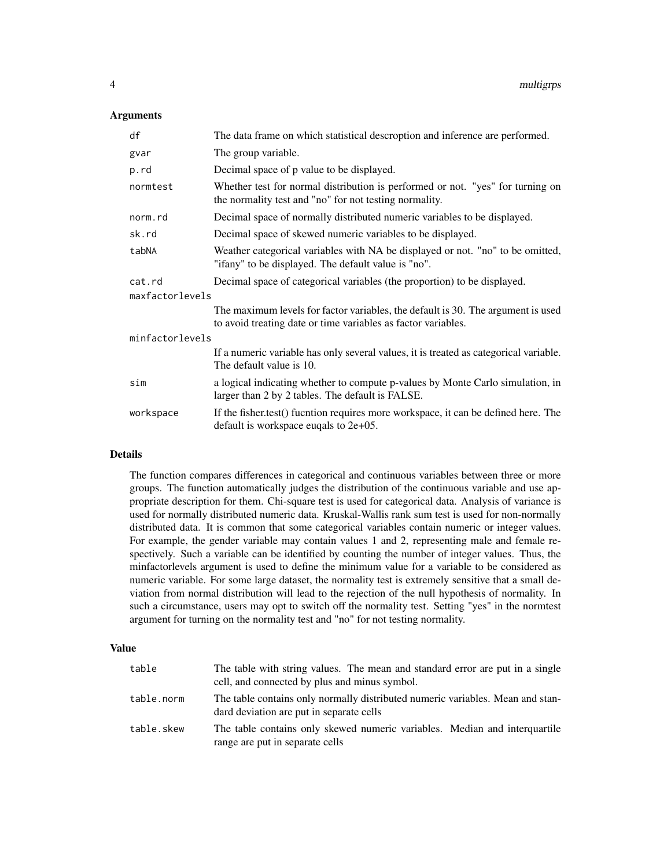## **Arguments**

| df              | The data frame on which statistical descroption and inference are performed.                                                                      |  |
|-----------------|---------------------------------------------------------------------------------------------------------------------------------------------------|--|
| gvar            | The group variable.                                                                                                                               |  |
| p.rd            | Decimal space of p value to be displayed.                                                                                                         |  |
| normtest        | Whether test for normal distribution is performed or not. "yes" for turning on<br>the normality test and "no" for not testing normality.          |  |
| norm.rd         | Decimal space of normally distributed numeric variables to be displayed.                                                                          |  |
| sk.rd           | Decimal space of skewed numeric variables to be displayed.                                                                                        |  |
| tabNA           | Weather categorical variables with NA be displayed or not. "no" to be omitted,<br>"ifany" to be displayed. The default value is "no".             |  |
| cat.rd          | Decimal space of categorical variables (the proportion) to be displayed.                                                                          |  |
| maxfactorlevels |                                                                                                                                                   |  |
|                 | The maximum levels for factor variables, the default is 30. The argument is used<br>to avoid treating date or time variables as factor variables. |  |
| minfactorlevels |                                                                                                                                                   |  |
|                 | If a numeric variable has only several values, it is treated as categorical variable.<br>The default value is 10.                                 |  |
| sim             | a logical indicating whether to compute p-values by Monte Carlo simulation, in<br>larger than 2 by 2 tables. The default is FALSE.                |  |
| workspace       | If the fisher.test() fucntion requires more workspace, it can be defined here. The<br>default is workspace eugals to $2e+05$ .                    |  |

#### Details

The function compares differences in categorical and continuous variables between three or more groups. The function automatically judges the distribution of the continuous variable and use appropriate description for them. Chi-square test is used for categorical data. Analysis of variance is used for normally distributed numeric data. Kruskal-Wallis rank sum test is used for non-normally distributed data. It is common that some categorical variables contain numeric or integer values. For example, the gender variable may contain values 1 and 2, representing male and female respectively. Such a variable can be identified by counting the number of integer values. Thus, the minfactorlevels argument is used to define the minimum value for a variable to be considered as numeric variable. For some large dataset, the normality test is extremely sensitive that a small deviation from normal distribution will lead to the rejection of the null hypothesis of normality. In such a circumstance, users may opt to switch off the normality test. Setting "yes" in the normtest argument for turning on the normality test and "no" for not testing normality.

#### Value

| table      | The table with string values. The mean and standard error are put in a single<br>cell, and connected by plus and minus symbol. |
|------------|--------------------------------------------------------------------------------------------------------------------------------|
| table.norm | The table contains only normally distributed numeric variables. Mean and stan-<br>dard deviation are put in separate cells     |
| table.skew | The table contains only skewed numeric variables. Median and interguartile<br>range are put in separate cells                  |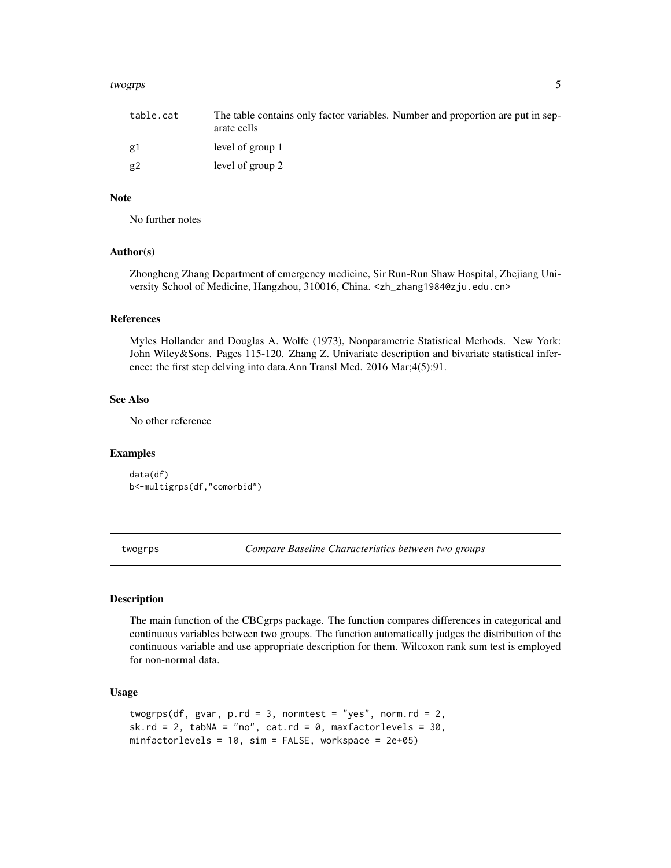#### <span id="page-4-0"></span>twogrps 5 two states of the contract of the contract of the contract of the contract of the contract of the contract of the contract of the contract of the contract of the contract of the contract of the contract of the co

| table.cat | The table contains only factor variables. Number and proportion are put in sep-<br>arate cells |
|-----------|------------------------------------------------------------------------------------------------|
| g1        | level of group 1                                                                               |
| g2        | level of group 2                                                                               |

# Note

No further notes

# Author(s)

Zhongheng Zhang Department of emergency medicine, Sir Run-Run Shaw Hospital, Zhejiang University School of Medicine, Hangzhou, 310016, China. <zh\_zhang1984@zju.edu.cn>

# References

Myles Hollander and Douglas A. Wolfe (1973), Nonparametric Statistical Methods. New York: John Wiley&Sons. Pages 115-120. Zhang Z. Univariate description and bivariate statistical inference: the first step delving into data.Ann Transl Med. 2016 Mar;4(5):91.

#### See Also

No other reference

#### Examples

```
data(df)
b<-multigrps(df,"comorbid")
```
twogrps *Compare Baseline Characteristics between two groups*

#### Description

The main function of the CBCgrps package. The function compares differences in categorical and continuous variables between two groups. The function automatically judges the distribution of the continuous variable and use appropriate description for them. Wilcoxon rank sum test is employed for non-normal data.

# Usage

```
twogrps(df, gvar, p.rd = 3, normtest = "yes", norm.rd = 2,
sk.rd = 2, tabNA = "no", cat.rd = 0, maxfactorlevels = 30,
minfactorlevels = 10, sim = FALSE, workspace = 2e+05)
```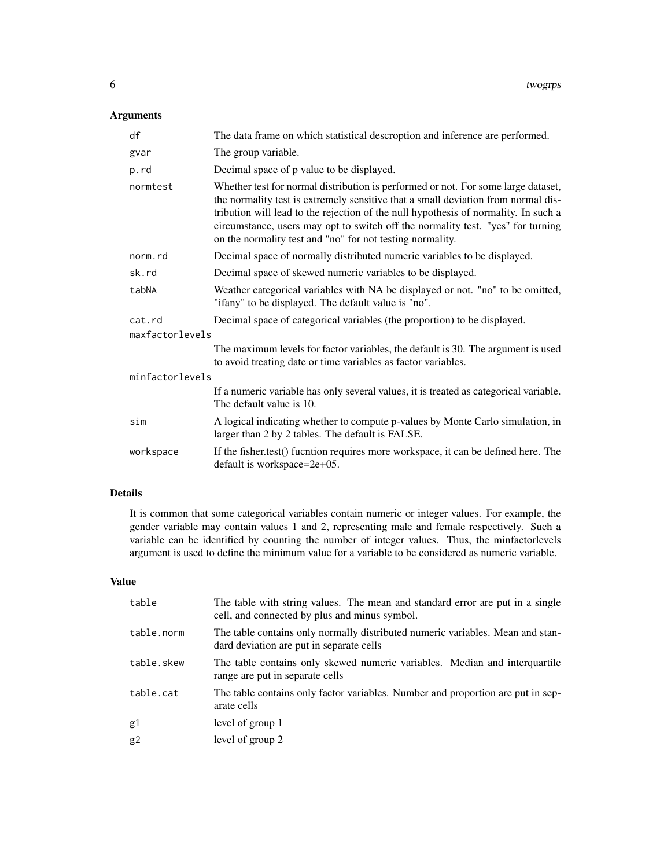# Arguments

| df              | The data frame on which statistical descroption and inference are performed.                                                                                                                                                                                                                                                                                                                                  |  |
|-----------------|---------------------------------------------------------------------------------------------------------------------------------------------------------------------------------------------------------------------------------------------------------------------------------------------------------------------------------------------------------------------------------------------------------------|--|
| gvar            | The group variable.                                                                                                                                                                                                                                                                                                                                                                                           |  |
| p.rd            | Decimal space of p value to be displayed.                                                                                                                                                                                                                                                                                                                                                                     |  |
| normtest        | Whether test for normal distribution is performed or not. For some large dataset,<br>the normality test is extremely sensitive that a small deviation from normal dis-<br>tribution will lead to the rejection of the null hypothesis of normality. In such a<br>circumstance, users may opt to switch off the normality test. "yes" for turning<br>on the normality test and "no" for not testing normality. |  |
| norm.rd         | Decimal space of normally distributed numeric variables to be displayed.                                                                                                                                                                                                                                                                                                                                      |  |
| sk.rd           | Decimal space of skewed numeric variables to be displayed.                                                                                                                                                                                                                                                                                                                                                    |  |
| tabNA           | Weather categorical variables with NA be displayed or not. "no" to be omitted,<br>"ifany" to be displayed. The default value is "no".                                                                                                                                                                                                                                                                         |  |
| cat.rd          | Decimal space of categorical variables (the proportion) to be displayed.                                                                                                                                                                                                                                                                                                                                      |  |
| maxfactorlevels |                                                                                                                                                                                                                                                                                                                                                                                                               |  |
|                 | The maximum levels for factor variables, the default is 30. The argument is used<br>to avoid treating date or time variables as factor variables.                                                                                                                                                                                                                                                             |  |
| minfactorlevels |                                                                                                                                                                                                                                                                                                                                                                                                               |  |
|                 | If a numeric variable has only several values, it is treated as categorical variable.<br>The default value is 10.                                                                                                                                                                                                                                                                                             |  |
| sim             | A logical indicating whether to compute p-values by Monte Carlo simulation, in<br>larger than 2 by 2 tables. The default is FALSE.                                                                                                                                                                                                                                                                            |  |
| workspace       | If the fisher.test() fucntion requires more workspace, it can be defined here. The<br>default is workspace=2e+05.                                                                                                                                                                                                                                                                                             |  |

# Details

It is common that some categorical variables contain numeric or integer values. For example, the gender variable may contain values 1 and 2, representing male and female respectively. Such a variable can be identified by counting the number of integer values. Thus, the minfactorlevels argument is used to define the minimum value for a variable to be considered as numeric variable.

# Value

| table          | The table with string values. The mean and standard error are put in a single<br>cell, and connected by plus and minus symbol. |
|----------------|--------------------------------------------------------------------------------------------------------------------------------|
| table.norm     | The table contains only normally distributed numeric variables. Mean and stan-<br>dard deviation are put in separate cells     |
| table.skew     | The table contains only skewed numeric variables. Median and interquartile<br>range are put in separate cells                  |
| table.cat      | The table contains only factor variables. Number and proportion are put in sep-<br>arate cells                                 |
| g1             | level of group 1                                                                                                               |
| g <sub>2</sub> | level of group 2                                                                                                               |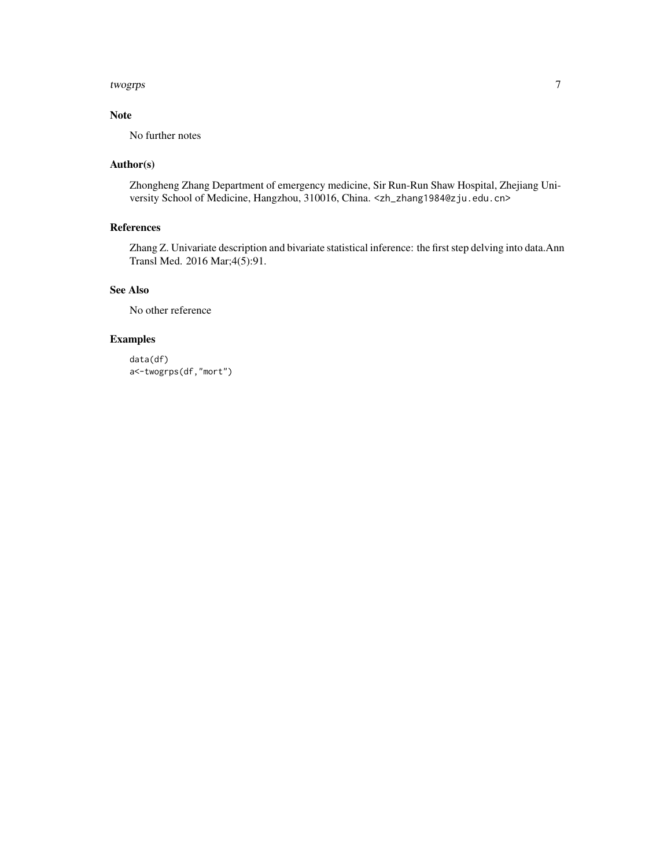#### twogrps  $\hspace{1.6cm}7$

# Note

No further notes

# Author(s)

Zhongheng Zhang Department of emergency medicine, Sir Run-Run Shaw Hospital, Zhejiang University School of Medicine, Hangzhou, 310016, China. <zh\_zhang1984@zju.edu.cn>

# References

Zhang Z. Univariate description and bivariate statistical inference: the first step delving into data.Ann Transl Med. 2016 Mar;4(5):91.

# See Also

No other reference

# Examples

data(df) a<-twogrps(df,"mort")